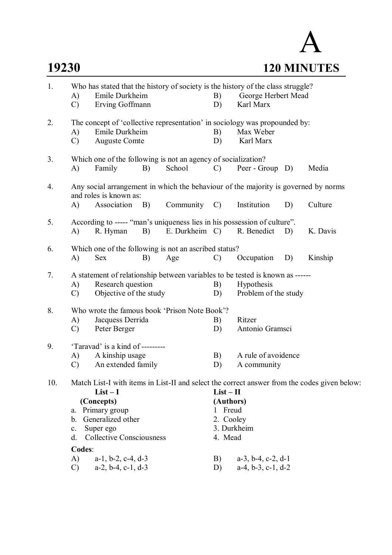## A **19230 120 MINUTES**

| 1.  | Who has stated that the history of society is the history of the class struggle?                             |                                                       |            |                                                                          |                          |                               |    |          |  |
|-----|--------------------------------------------------------------------------------------------------------------|-------------------------------------------------------|------------|--------------------------------------------------------------------------|--------------------------|-------------------------------|----|----------|--|
|     | A)                                                                                                           | Emile Durkheim                                        |            |                                                                          |                          | George Herbert Mead<br>B)     |    |          |  |
|     | $\mathcal{C}$                                                                                                | Erving Goffmann                                       |            |                                                                          | D)                       | Karl Marx                     |    |          |  |
| 2.  | The concept of 'collective representation' in sociology was propounded by:                                   |                                                       |            |                                                                          |                          |                               |    |          |  |
|     | A)                                                                                                           | Emile Durkheim                                        |            |                                                                          | B)                       | Max Weber                     |    |          |  |
|     | $\mathcal{C}$                                                                                                | <b>Auguste Comte</b>                                  |            |                                                                          | D)                       | Karl Marx                     |    |          |  |
| 3.  |                                                                                                              |                                                       |            | Which one of the following is not an agency of socialization?            |                          |                               |    |          |  |
|     | A)                                                                                                           | Family                                                | B)         | School                                                                   | $\mathcal{C}$            | Peer - Group D)               |    | Media    |  |
| 4.  | Any social arrangement in which the behaviour of the majority is governed by norms<br>and roles is known as: |                                                       |            |                                                                          |                          |                               |    |          |  |
|     | A)                                                                                                           | Association                                           | <b>B</b> ) | Community C)                                                             |                          | Institution                   | D) | Culture  |  |
| 5.  |                                                                                                              |                                                       |            | According to ----- "man's uniqueness lies in his possession of culture". |                          |                               |    |          |  |
|     | A)                                                                                                           | R. Hyman                                              | B)         | E. Durkheim C)                                                           |                          | R. Benedict                   | D) | K. Davis |  |
| 6.  |                                                                                                              | Which one of the following is not an ascribed status? |            |                                                                          |                          |                               |    |          |  |
|     | A)                                                                                                           | <b>Sex</b>                                            | B)         | Age                                                                      | $\mathcal{C}$            | Occupation                    | D) | Kinship  |  |
| 7.  | A statement of relationship between variables to be tested is known as ------                                |                                                       |            |                                                                          |                          |                               |    |          |  |
|     | A)                                                                                                           | Research question                                     |            |                                                                          | B)                       | Hypothesis                    |    |          |  |
|     | $\mathcal{C}$                                                                                                | Objective of the study                                |            |                                                                          | D)                       | Problem of the study          |    |          |  |
| 8.  | Who wrote the famous book 'Prison Note Book'?                                                                |                                                       |            |                                                                          |                          |                               |    |          |  |
|     | A)                                                                                                           | Jacquess Derrida                                      |            |                                                                          | B)                       | Ritzer                        |    |          |  |
|     | $\mathcal{C}$                                                                                                | Peter Berger                                          |            |                                                                          | D)                       | Antonio Gramsci               |    |          |  |
| 9.  | 'Taravad' is a kind of ---------                                                                             |                                                       |            |                                                                          |                          |                               |    |          |  |
|     | A)                                                                                                           | A kinship usage                                       |            |                                                                          | B)<br>D)                 | A rule of avoidence           |    |          |  |
|     | An extended family<br>$\mathcal{C}$                                                                          |                                                       |            |                                                                          |                          | A community                   |    |          |  |
| 10. | Match List-I with items in List-II and select the correct answer from the codes given below:                 |                                                       |            |                                                                          |                          |                               |    |          |  |
|     |                                                                                                              | $List-I$                                              |            |                                                                          | $List - II$              |                               |    |          |  |
|     |                                                                                                              | (Concepts)                                            |            |                                                                          | (Authors)                |                               |    |          |  |
|     | a.                                                                                                           | Primary group                                         |            |                                                                          | Freud<br>$\mathbf{I}$    |                               |    |          |  |
|     | Generalized other<br>b.                                                                                      |                                                       |            |                                                                          | 2. Cooley<br>3. Durkheim |                               |    |          |  |
|     | Super ego<br>$\mathbf{c}$ .<br><b>Collective Consciousness</b><br>d.                                         |                                                       |            |                                                                          | 4. Mead                  |                               |    |          |  |
|     | Codes:                                                                                                       |                                                       |            |                                                                          |                          |                               |    |          |  |
|     | A)                                                                                                           | $a-1$ , $b-2$ , $c-4$ , $d-3$                         |            |                                                                          | B)                       | $a-3$ , $b-4$ , $c-2$ , $d-1$ |    |          |  |
|     | $\mathcal{C}$                                                                                                | $a-2$ , $b-4$ , $c-1$ , $d-3$                         |            |                                                                          | D)                       | $a-4$ , $b-3$ , $c-1$ , $d-2$ |    |          |  |
|     |                                                                                                              |                                                       |            |                                                                          |                          |                               |    |          |  |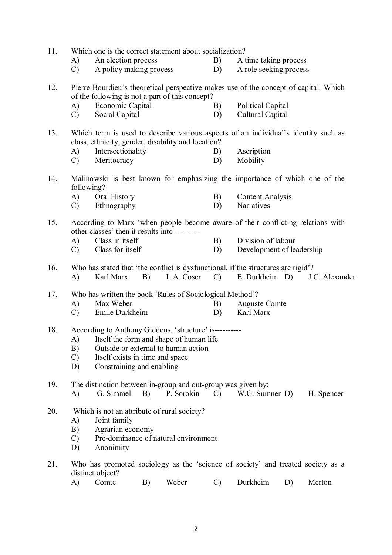| 11. | Which one is the correct statement about socialization?                                                                           |                                                                           |    |            |               |                                                                                      |    |                |  |
|-----|-----------------------------------------------------------------------------------------------------------------------------------|---------------------------------------------------------------------------|----|------------|---------------|--------------------------------------------------------------------------------------|----|----------------|--|
|     | A)                                                                                                                                | An election process                                                       |    |            | B)            | A time taking process                                                                |    |                |  |
|     | $\mathcal{C}$                                                                                                                     | A policy making process                                                   |    |            | D)            | A role seeking process                                                               |    |                |  |
| 12. |                                                                                                                                   | of the following is not a part of this concept?                           |    |            |               | Pierre Bourdieu's theoretical perspective makes use of the concept of capital. Which |    |                |  |
|     | A)                                                                                                                                | Economic Capital                                                          |    |            | B)            | Political Capital                                                                    |    |                |  |
|     | $\mathcal{C}$                                                                                                                     | Social Capital                                                            |    |            | D)            | Cultural Capital                                                                     |    |                |  |
|     |                                                                                                                                   |                                                                           |    |            |               |                                                                                      |    |                |  |
| 13. |                                                                                                                                   | class, ethnicity, gender, disability and location?                        |    |            |               | Which term is used to describe various aspects of an individual's identity such as   |    |                |  |
|     | A)                                                                                                                                | Intersectionality                                                         |    |            | B)            | Ascription                                                                           |    |                |  |
|     | $\mathcal{C}$                                                                                                                     | Meritocracy                                                               |    |            | D)            | Mobility                                                                             |    |                |  |
| 14. | following?                                                                                                                        | Oral History                                                              |    |            |               | Malinowski is best known for emphasizing the importance of which one of the          |    |                |  |
|     | A)<br>$\mathcal{C}$                                                                                                               | Ethnography                                                               |    |            | B)<br>D)      | <b>Content Analysis</b><br>Narratives                                                |    |                |  |
|     |                                                                                                                                   |                                                                           |    |            |               |                                                                                      |    |                |  |
| 15. | According to Marx 'when people become aware of their conflicting relations with<br>other classes' then it results into ---------- |                                                                           |    |            |               |                                                                                      |    |                |  |
|     | A)                                                                                                                                | Class in itself                                                           |    |            | B)            | Division of labour                                                                   |    |                |  |
|     | $\mathcal{C}$                                                                                                                     | Class for itself                                                          |    |            | D)            | Development of leadership                                                            |    |                |  |
| 16. |                                                                                                                                   |                                                                           |    |            |               | Who has stated that 'the conflict is dysfunctional, if the structures are rigid'?    |    |                |  |
|     | A)                                                                                                                                | Karl Marx                                                                 | B) | L.A. Coser | $\mathcal{C}$ | E. Durkheim D)                                                                       |    | J.C. Alexander |  |
| 17. |                                                                                                                                   | Who has written the book 'Rules of Sociological Method'?                  |    |            |               |                                                                                      |    |                |  |
|     | A)                                                                                                                                | Max Weber                                                                 |    |            | B)            | <b>Auguste Comte</b>                                                                 |    |                |  |
|     | $\mathcal{C}$                                                                                                                     | Emile Durkheim                                                            |    |            | D)            | Karl Marx                                                                            |    |                |  |
|     |                                                                                                                                   |                                                                           |    |            |               |                                                                                      |    |                |  |
| 18. | According to Anthony Giddens, 'structure' is----------                                                                            |                                                                           |    |            |               |                                                                                      |    |                |  |
|     | A)                                                                                                                                | Itself the form and shape of human life                                   |    |            |               |                                                                                      |    |                |  |
|     | B)                                                                                                                                | Outside or external to human action                                       |    |            |               |                                                                                      |    |                |  |
|     | $\mathcal{C}$                                                                                                                     | Itself exists in time and space                                           |    |            |               |                                                                                      |    |                |  |
|     | D)                                                                                                                                | Constraining and enabling                                                 |    |            |               |                                                                                      |    |                |  |
|     |                                                                                                                                   |                                                                           |    |            |               |                                                                                      |    |                |  |
| 19. | A)                                                                                                                                | The distinction between in-group and out-group was given by:<br>G. Simmel | B) | P. Sorokin | $\mathcal{C}$ | W.G. Sumner D)                                                                       |    |                |  |
|     |                                                                                                                                   |                                                                           |    |            |               |                                                                                      |    | H. Spencer     |  |
| 20. | Which is not an attribute of rural society?                                                                                       |                                                                           |    |            |               |                                                                                      |    |                |  |
|     | A)                                                                                                                                | Joint family                                                              |    |            |               |                                                                                      |    |                |  |
|     | Agrarian economy<br>B)                                                                                                            |                                                                           |    |            |               |                                                                                      |    |                |  |
|     | Pre-dominance of natural environment<br>$\mathcal{C}$                                                                             |                                                                           |    |            |               |                                                                                      |    |                |  |
|     | D)                                                                                                                                | Anonimity                                                                 |    |            |               |                                                                                      |    |                |  |
| 21. | Who has promoted sociology as the 'science of society' and treated society as a                                                   |                                                                           |    |            |               |                                                                                      |    |                |  |
|     |                                                                                                                                   | distinct object?                                                          |    |            |               |                                                                                      |    |                |  |
|     | A)                                                                                                                                | Comte                                                                     | B) | Weber      | $\mathcal{C}$ | Durkheim                                                                             | D) | Merton         |  |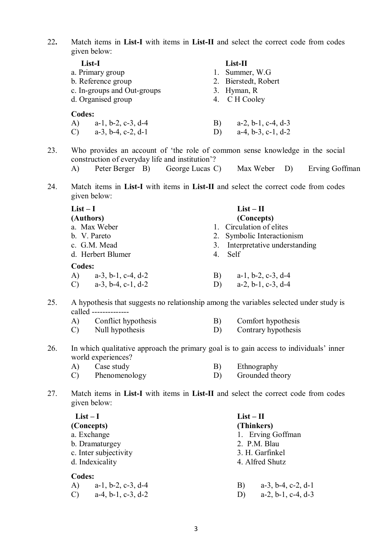22**.** Match items in **List-I** with items in **List-II** and select the correct code from codes given below:

|    | List-II                       |  |  |
|----|-------------------------------|--|--|
|    | 1. Summer, W.G.               |  |  |
|    | 2. Bierstedt, Robert          |  |  |
|    | 3. Hyman, R                   |  |  |
|    | 4. C H Cooley                 |  |  |
|    |                               |  |  |
| B) | $a-2$ , $b-1$ , $c-4$ , $d-3$ |  |  |
| D) | $a-4, b-3, c-1, d-2$          |  |  |
|    |                               |  |  |

- 23. Who provides an account of 'the role of common sense knowledge in the social construction of everyday life and institution'?
	- A) Peter Berger B) George Lucas C) Max Weber D) Erving Goffman
- 24. Match items in **List-I** with items in **List-II** and select the correct code from codes given below:

| $List-I$                                         | $List - II$                         |
|--------------------------------------------------|-------------------------------------|
| (Authors)                                        | (Concepts)                          |
| a. Max Weber                                     | 1. Circulation of elites            |
| b. V. Pareto                                     | 2. Symbolic Interactionism          |
| c. G.M. Mead                                     | Interpretative understanding<br>3.  |
| d. Herbert Blumer                                | 4. Self                             |
| <b>Codes:</b>                                    |                                     |
| $a-3$ , $b-1$ , $c-4$ , $d-2$<br>A)              | $a-1$ , $b-2$ , $c-3$ , $d-4$<br>B) |
| $a-3$ , $b-4$ , $c-1$ , $d-2$<br>$\mathcal{C}$ ) | $a-2, b-1, c-3, d-4$<br>D)          |

25. A hypothesis that suggests no relationship among the variables selected under study is called --------------

| A) | Conflict hypothesis | Comfort hypothesis  |
|----|---------------------|---------------------|
|    | Null hypothesis     | Contrary hypothesis |

26. In which qualitative approach the primary goal is to gain access to individuals' inner world experiences?

| A) | Case study    | Ethnography     |
|----|---------------|-----------------|
|    | Phenomenology | Grounded theory |

27. Match items in **List-I** with items in **List-II** and select the correct code from codes given below:

| $List-I$                                                                                                           | $List-II$                                                                                     |  |  |  |
|--------------------------------------------------------------------------------------------------------------------|-----------------------------------------------------------------------------------------------|--|--|--|
| (Concepts)                                                                                                         | (Thinkers)                                                                                    |  |  |  |
| a. Exchange                                                                                                        | 1. Erving Goffman                                                                             |  |  |  |
| b. Dramaturgey                                                                                                     | 2. P.M. Blau                                                                                  |  |  |  |
| c. Inter subjectivity                                                                                              | 3. H. Garfinkel                                                                               |  |  |  |
| d. Indexicality<br>Codes:<br>$a-1$ , $b-2$ , $c-3$ , $d-4$<br>A)<br>$a-4$ , $b-1$ , $c-3$ , $d-2$<br>$\mathcal{C}$ | 4. Alfred Shutz<br>$a-3$ , $b-4$ , $c-2$ , $d-1$<br>B)<br>$a-2$ , $b-1$ , $c-4$ , $d-3$<br>D) |  |  |  |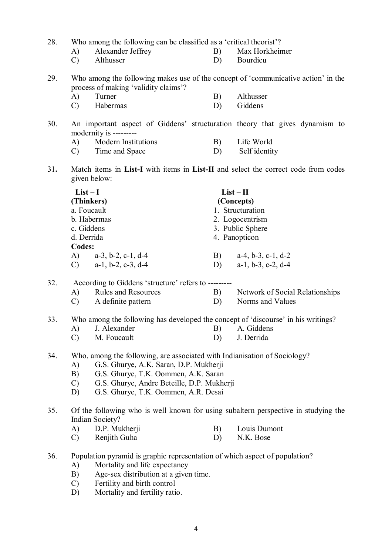28. Who among the following can be classified as a 'critical theorist'?

- A) Alexander Jeffrey B) Max Horkheimer
	- C) Althusser D) Bourdieu
- 29. Who among the following makes use of the concept of 'communicative action' in the process of making 'validity claims'?<br>A) Turner
	- A) Turner B) Althusser
	- C) Habermas D) Giddens
- 30. An important aspect of Giddens' structuration theory that gives dynamism to modernity is ---------
	- A) Modern Institutions B) Life World
	- C) Time and Space D) Self identity
- 31**.** Match items in **List-I** with items in **List-II** and select the correct code from codes given below:

| $List-I$                                       | $List - II$                         |  |  |
|------------------------------------------------|-------------------------------------|--|--|
| (Thinkers)                                     | (Concepts)                          |  |  |
| a. Foucault                                    | 1. Structuration                    |  |  |
| b. Habermas                                    | 2. Logocentrism                     |  |  |
| c. Giddens                                     | 3. Public Sphere                    |  |  |
| d. Derrida                                     | 4. Panopticon                       |  |  |
| <b>Codes:</b>                                  |                                     |  |  |
| A)<br>$a-3$ , $b-2$ , $c-1$ , $d-4$            | $a-4$ , $b-3$ , $c-1$ , $d-2$<br>B) |  |  |
| $a-1$ , $b-2$ , $c-3$ , $d-4$<br>$\mathcal{C}$ | $a-1$ , $b-3$ , $c-2$ , $d-4$<br>D) |  |  |

- 32. According to Giddens 'structure' refers to ---------
	- A) Rules and Resources B) Network of Social Relationships C) A definite pattern D) Norms and Values
	-
- 33. Who among the following has developed the concept of 'discourse' in his writings?
	- A) J. Alexander B) A. Giddens
		- C) M. Foucault D) J. Derrida
- 34. Who, among the following, are associated with Indianisation of Sociology?
	- A) G.S. Ghurye, A.K. Saran, D.P. Mukherji
	- B) G.S. Ghurye, T.K. Oommen, A.K. Saran
	- C) G.S. Ghurye, Andre Beteille, D.P. Mukherji
	- D) G.S. Ghurye, T.K. Oommen, A.R. Desai

## 35. Of the following who is well known for using subaltern perspective in studying the Indian Society?

- A) D.P. Mukherji B) Louis Dumont
- C) Renjith Guha D) N.K. Bose
- 36. Population pyramid is graphic representation of which aspect of population?
	- A) Mortality and life expectancy
	- B) Age-sex distribution at a given time.
	- C) Fertility and birth control
	- D) Mortality and fertility ratio.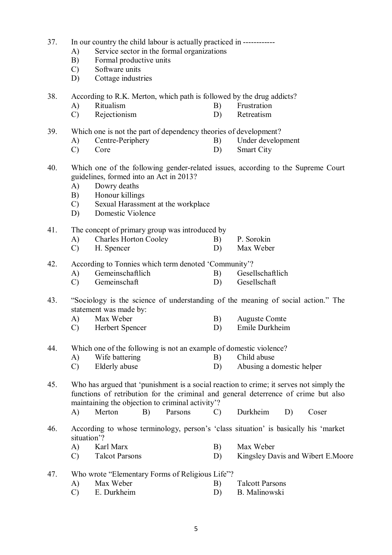- 37. In our country the child labour is actually practiced in ------------
	- A) Service sector in the formal organizations
	- B) Formal productive units
	- C) Software units
	- D) Cottage industries

38. According to R.K. Merton, which path is followed by the drug addicts?

- A) Ritualism B) Frustration<br>
C) Rejectionism D) Retreatism
- C) Rejectionism D)
- 39. Which one is not the part of dependency theories of development?
	- A) Centre-Periphery B) Under development
	- C) Core D) Smart City
- 40. Which one of the following gender-related issues, according to the Supreme Court guidelines, formed into an Act in 2013?
	- A) Dowry deaths
	- B) Honour killings
	- C) Sexual Harassment at the workplace
	- D) Domestic Violence

41. The concept of primary group was introduced by

- A) Charles Horton Cooley B) P. Sorokin
- C) H. Spencer D) Max Weber

42. According to Tonnies which term denoted 'Community'?

- A) Gemeinschaftlich B) Gesellschaftlich
- C) Gemeinschaft D) Gesellschaft
- 43. "Sociology is the science of understanding of the meaning of social action." The statement was made by:<br>A) Max Weber
	- A) Max Weber B) Auguste Comte
	- C) Herbert Spencer D) Emile Durkheim

44. Which one of the following is not an example of domestic violence?

- A) Wife battering B) Child abuse
- C) Elderly abuse D) Abusing a domestic helper

45. Who has argued that 'punishment is a social reaction to crime; it serves not simply the functions of retribution for the criminal and general deterrence of crime but also maintaining the objection to criminal activity'?

- A) Merton B) Parsons C) Durkheim D) Coser
- 46. According to whose terminology, person's 'class situation' is basically his 'market situation'?
	- A) Karl Marx B) Max Weber
	- C) Talcot Parsons D) Kingsley Davis and Wibert E.Moore

47. Who wrote "Elementary Forms of Religious Life"?

- A) Max Weber B) Talcott Parsons
- C) E. Durkheim D) B. Malinowski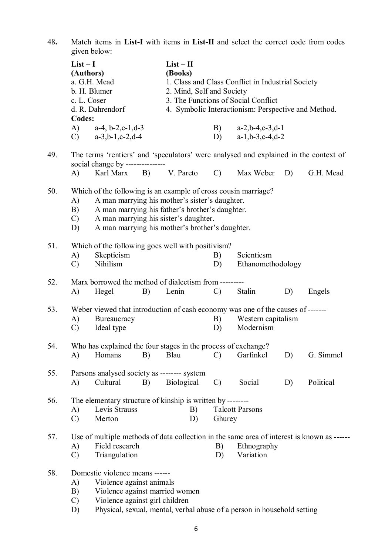48**.** Match items in **List-I** with items in **List-II** and select the correct code from codes given below:

|     | $List-I$<br>(Authors)<br>a. G.H. Mead<br>b. H. Blumer<br>c. L. Coser<br>d. R. Dahrendorf |                                                                                              | $List - II$<br>(Books)<br>1. Class and Class Conflict in Industrial Society<br>2. Mind, Self and Society<br>3. The Functions of Social Conflict<br>4. Symbolic Interactionism: Perspective and Method. |                                                                                                                                                                                               |               |                                                                                                                    |    |                                                                                            |
|-----|------------------------------------------------------------------------------------------|----------------------------------------------------------------------------------------------|--------------------------------------------------------------------------------------------------------------------------------------------------------------------------------------------------------|-----------------------------------------------------------------------------------------------------------------------------------------------------------------------------------------------|---------------|--------------------------------------------------------------------------------------------------------------------|----|--------------------------------------------------------------------------------------------|
|     | <b>Codes:</b><br>(A)<br>$\mathcal{C}$                                                    | $a-4$ , $b-2$ , $c-1$ , $d-3$<br>$a-3,b-1,c-2,d-4$                                           |                                                                                                                                                                                                        |                                                                                                                                                                                               | D)            | B) $a-2, b-4, c-3, d-1$<br>$a-1,b-3,c-4,d-2$                                                                       |    |                                                                                            |
| 49. |                                                                                          | social change by ---------------                                                             |                                                                                                                                                                                                        |                                                                                                                                                                                               |               | The terms 'rentiers' and 'speculators' were analysed and explained in the context of                               |    |                                                                                            |
|     | A)                                                                                       |                                                                                              |                                                                                                                                                                                                        | Karl Marx B) V. Pareto                                                                                                                                                                        |               | C) Max Weber                                                                                                       | D) | G.H. Mead                                                                                  |
| 50. | A)<br>B)<br>$\mathcal{C}$<br>D)                                                          | Which of the following is an example of cross cousin marriage?                               |                                                                                                                                                                                                        | A man marrying his mother's sister's daughter.<br>A man marrying his father's brother's daughter.<br>A man marrying his sister's daughter.<br>A man marrying his mother's brother's daughter. |               |                                                                                                                    |    |                                                                                            |
| 51. | A)<br>$\mathcal{C}$                                                                      | Which of the following goes well with positivism?<br>Skepticism<br>Nihilism                  |                                                                                                                                                                                                        |                                                                                                                                                                                               | B)<br>D)      | Scientiesm<br>Ethanomethodology                                                                                    |    |                                                                                            |
| 52. | A)                                                                                       | Marx borrowed the method of dialectism from ---------<br>Hegel                               | B)                                                                                                                                                                                                     | Lenin                                                                                                                                                                                         | $\mathcal{C}$ | <b>Stalin</b>                                                                                                      | D) | Engels                                                                                     |
| 53. | A)<br>$\mathcal{C}$                                                                      | Bureaucracy<br>Ideal type                                                                    |                                                                                                                                                                                                        |                                                                                                                                                                                               | B)<br>D)      | Weber viewed that introduction of cash economy was one of the causes of -------<br>Western capitalism<br>Modernism |    |                                                                                            |
| 54. | A)                                                                                       | Who has explained the four stages in the process of exchange?<br>Homans                      | B)                                                                                                                                                                                                     | Blau                                                                                                                                                                                          | $\mathcal{C}$ | Garfinkel                                                                                                          | D) | G. Simmel                                                                                  |
| 55. | A)                                                                                       | Parsons analysed society as -------- system<br>Cultural                                      | B)                                                                                                                                                                                                     | <b>Biological</b>                                                                                                                                                                             | $\mathcal{C}$ | Social                                                                                                             | D) | Political                                                                                  |
| 56. | A)<br>$\mathcal{C}$                                                                      | The elementary structure of kinship is written by --------<br>Levis Strauss<br>Merton        |                                                                                                                                                                                                        | B)<br>D)                                                                                                                                                                                      | Ghurey        | <b>Talcott Parsons</b>                                                                                             |    |                                                                                            |
| 57. | A)<br>$\mathcal{C}$                                                                      | Field research<br>Triangulation                                                              |                                                                                                                                                                                                        |                                                                                                                                                                                               | B)<br>D)      | Ethnography<br>Variation                                                                                           |    | Use of multiple methods of data collection in the same area of interest is known as ------ |
| 58. | A)<br>B)<br>$\cup$                                                                       | Domestic violence means ------<br>Violence against animals<br>Violence against girl children |                                                                                                                                                                                                        | Violence against married women                                                                                                                                                                |               |                                                                                                                    |    |                                                                                            |

C) Violence against girl children<br>D) Physical, sexual, mental, verba D) Physical, sexual, mental, verbal abuse of a person in household setting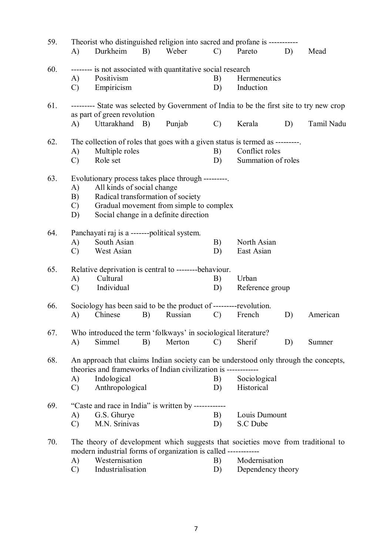| 59. |               | Theorist who distinguished religion into sacred and profane is -----------                                              |            |         |               |                    |    |            |
|-----|---------------|-------------------------------------------------------------------------------------------------------------------------|------------|---------|---------------|--------------------|----|------------|
|     | A)            | Durkheim                                                                                                                | B)         | Weber   | $\mathcal{C}$ | Pareto             | D) | Mead       |
| 60. |               | -------- is not associated with quantitative social research                                                            |            |         |               |                    |    |            |
|     | A)            | Positivism                                                                                                              |            |         | B)            | Hermeneutics       |    |            |
|     | $\mathcal{C}$ | Empiricism                                                                                                              |            |         | D)            | Induction          |    |            |
| 61. |               | --------- State was selected by Government of India to be the first site to try new crop<br>as part of green revolution |            |         |               |                    |    |            |
|     | A)            | Uttarakhand                                                                                                             | <b>B</b> ) | Punjab  | $\mathcal{C}$ | Kerala             | D) | Tamil Nadu |
| 62. |               | The collection of roles that goes with a given status is termed as ---------                                            |            |         |               |                    |    |            |
|     | A)            | Multiple roles                                                                                                          |            |         | B)            | Conflict roles     |    |            |
|     | $\mathcal{C}$ | Role set                                                                                                                |            |         | D)            | Summation of roles |    |            |
| 63. |               | Evolutionary process takes place through ---------                                                                      |            |         |               |                    |    |            |
|     | A)            | All kinds of social change                                                                                              |            |         |               |                    |    |            |
|     | B)            | Radical transformation of society                                                                                       |            |         |               |                    |    |            |
|     | $\mathcal{C}$ | Gradual movement from simple to complex                                                                                 |            |         |               |                    |    |            |
|     | D)            | Social change in a definite direction                                                                                   |            |         |               |                    |    |            |
| 64. |               | Panchayati raj is a -------political system.                                                                            |            |         |               |                    |    |            |
|     | A)            | South Asian                                                                                                             |            |         | B)            | North Asian        |    |            |
|     | $\mathcal{C}$ | West Asian                                                                                                              |            |         | D)            | East Asian         |    |            |
| 65. |               | Relative deprivation is central to --------behaviour.                                                                   |            |         |               |                    |    |            |
|     | A)            | Cultural                                                                                                                |            |         | B)            | Urban              |    |            |
|     | $\mathcal{C}$ | Individual                                                                                                              |            |         | D)            | Reference group    |    |            |
| 66. |               | Sociology has been said to be the product of ---------revolution.                                                       |            |         |               |                    |    |            |
|     | A)            | Chinese                                                                                                                 | B)         | Russian | $\mathcal{C}$ | French             | D) | American   |
| 67. |               | Who introduced the term 'folkways' in sociological literature?                                                          |            |         |               |                    |    |            |
|     | A)            | Simmel                                                                                                                  | B)         | Merton  | $\mathcal{C}$ | Sherif             | D) | Sumner     |
| 68. |               | An approach that claims Indian society can be understood only through the concepts,                                     |            |         |               |                    |    |            |
|     |               | theories and frameworks of Indian civilization is -------                                                               |            |         |               |                    |    |            |
|     | A)            | Indological                                                                                                             |            |         | B)            | Sociological       |    |            |
|     | $\mathcal{C}$ | Anthropological                                                                                                         |            |         | D)            | Historical         |    |            |
| 69. |               | "Caste and race in India" is written by ------------                                                                    |            |         |               |                    |    |            |
|     | A)            | G.S. Ghurye                                                                                                             |            |         | B)            | Louis Dumount      |    |            |
|     | $\mathcal{C}$ | M.N. Srinivas                                                                                                           |            |         | D)            | S.C Dube           |    |            |
| 70. |               | The theory of development which suggests that societies move from traditional to                                        |            |         |               |                    |    |            |
|     |               | modern industrial forms of organization is called ------------                                                          |            |         |               |                    |    |            |
|     | A)            | Westernisation                                                                                                          |            |         | B)            | Modernisation      |    |            |
|     | $\mathcal{C}$ | Industrialisation                                                                                                       |            |         | D)            | Dependency theory  |    |            |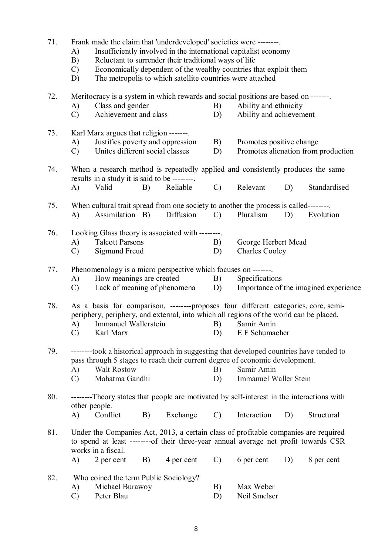| 71. |  |  |  |  | Frank made the claim that 'underdeveloped' societies were -------- |  |
|-----|--|--|--|--|--------------------------------------------------------------------|--|
|-----|--|--|--|--|--------------------------------------------------------------------|--|

- A) Insufficiently involved in the international capitalist economy
- B) Reluctant to surrender their traditional ways of life
- C) Economically dependent of the wealthy countries that exploit them
- D) The metropolis to which satellite countries were attached

72. Meritocracy is a system in which rewards and social positions are based on -------.<br>A) Class and gender B) Ability and ethnicity A) Class and gender B) Ability and ethnicity<br>
C) Achievement and class D) Ability and achievem C) Achievement and class D) Ability and achievement 73. Karl Marx argues that religion -------. A) Justifies poverty and oppression B) Promotes positive change C) Unites different social classes D) Promotes alienation from production 74. When a research method is repeatedly applied and consistently produces the same results in a study it is said to be --------. A) Valid B) Reliable C) Relevant D) Standardised 75. When cultural trait spread from one society to another the process is called--------. A) Assimilation B) Diffusion C) Pluralism D) Evolution 76. Looking Glass theory is associated with --------. A) Talcott Parsons B) George Herbert Mead C) Sigmund Freud D) Charles Cooley 77. Phenomenology is a micro perspective which focuses on -------. A) How meanings are created B) Specifications C) Lack of meaning of phenomena D) Importance of the imagined experience 78. As a basis for comparison, --------proposes four different categories, core, semiperiphery, periphery, and external, into which all regions of the world can be placed. A) Immanuel Wallerstein B) Samir Amin C) Karl Marx D) E F Schumacher 79. --------took a historical approach in suggesting that developed countries have tended to pass through 5 stages to reach their current degree of economic development. A) Walt Rostow B) Samir Amin C) Mahatma Gandhi D) Immanuel Waller Stein 80. --------Theory states that people are motivated by self-interest in the interactions with other people. A) Conflict B) Exchange C) Interaction D) Structural 81. Under the Companies Act, 2013, a certain class of profitable companies are required to spend at least --------of their three-year annual average net profit towards CSR works in a fiscal. A) 2 per cent B) 4 per cent C) 6 per cent D) 8 per cent 82. Who coined the term Public Sociology? A) Michael Burawoy B) Max Weber C) Peter Blau D) Neil Smelser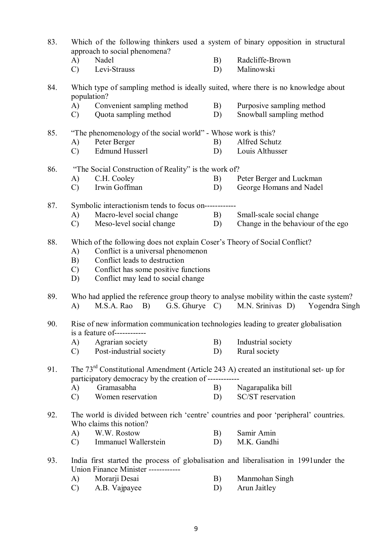| 83. | Which of the following thinkers used a system of binary opposition in structural<br>approach to social phenomena?                                             |    |                                                   |
|-----|---------------------------------------------------------------------------------------------------------------------------------------------------------------|----|---------------------------------------------------|
|     | Nadel<br>A)                                                                                                                                                   | B) | Radcliffe-Brown                                   |
|     | Levi-Strauss<br>$\mathcal{C}$                                                                                                                                 | D) | Malinowski                                        |
| 84. | Which type of sampling method is ideally suited, where there is no knowledge about<br>population?                                                             |    |                                                   |
|     | Convenient sampling method<br>A)                                                                                                                              | B) | Purposive sampling method                         |
|     | Quota sampling method<br>$\mathcal{C}$                                                                                                                        | D) | Snowball sampling method                          |
| 85. | "The phenomenology of the social world" - Whose work is this?"                                                                                                |    |                                                   |
|     | Peter Berger<br>A)                                                                                                                                            | B) | Alfred Schutz                                     |
|     | <b>Edmund Husserl</b><br>$\mathcal{C}$                                                                                                                        | D) | Louis Althusser                                   |
| 86. | "The Social Construction of Reality" is the work of?                                                                                                          |    |                                                   |
|     | C.H. Cooley<br>A)                                                                                                                                             | B) | Peter Berger and Luckman                          |
|     | Irwin Goffman<br>$\mathcal{C}$                                                                                                                                | D) | George Homans and Nadel                           |
| 87. | Symbolic interactionism tends to focus on-----------                                                                                                          |    |                                                   |
|     | Macro-level social change<br>A)                                                                                                                               | B) | Small-scale social change                         |
|     | Meso-level social change<br>$\mathcal{C}$                                                                                                                     | D) | Change in the behaviour of the ego                |
|     |                                                                                                                                                               |    |                                                   |
| 88. | Which of the following does not explain Coser's Theory of Social Conflict?                                                                                    |    |                                                   |
|     | Conflict is a universal phenomenon<br>A)                                                                                                                      |    |                                                   |
|     | Conflict leads to destruction<br>B)                                                                                                                           |    |                                                   |
|     | Conflict has some positive functions<br>$\mathcal{C}$                                                                                                         |    |                                                   |
|     | D)<br>Conflict may lead to social change                                                                                                                      |    |                                                   |
| 89. | Who had applied the reference group theory to analyse mobility within the caste system?                                                                       |    |                                                   |
|     | B)<br>M.S.A. Rao<br>A)                                                                                                                                        |    | G.S. Ghurye C) M.N. Srinivas D)<br>Yogendra Singh |
| 90. | Rise of new information communication technologies leading to greater globalisation<br>is a feature of------------                                            |    |                                                   |
|     |                                                                                                                                                               |    |                                                   |
|     | Agrarian society<br>A)                                                                                                                                        | B) | Industrial society                                |
|     | Post-industrial society<br>$\mathcal{C}$                                                                                                                      | D) | Rural society                                     |
| 91. | The 73 <sup>rd</sup> Constitutional Amendment (Article 243 A) created an institutional set- up for<br>participatory democracy by the creation of ------------ |    |                                                   |
|     | Gramasabha<br>A)                                                                                                                                              | B) | Nagarapalika bill                                 |
|     | Women reservation<br>$\mathcal{C}$                                                                                                                            | D) | SC/ST reservation                                 |
| 92. | The world is divided between rich 'centre' countries and poor 'peripheral' countries.<br>Who claims this notion?                                              |    |                                                   |
|     | W.W. Rostow<br>A)                                                                                                                                             | B) | Samir Amin                                        |
|     | Immanuel Wallerstein<br>$\mathcal{C}$                                                                                                                         | D) | M.K. Gandhi                                       |
|     |                                                                                                                                                               |    |                                                   |
| 93. | India first started the process of globalisation and liberalisation in 1991 under the                                                                         |    |                                                   |
|     | Union Finance Minister ------------                                                                                                                           |    |                                                   |
|     | Morarji Desai<br>A)                                                                                                                                           | B) | Manmohan Singh                                    |
|     | A.B. Vajpayee<br>$\mathcal{C}$                                                                                                                                | D) | Arun Jaitley                                      |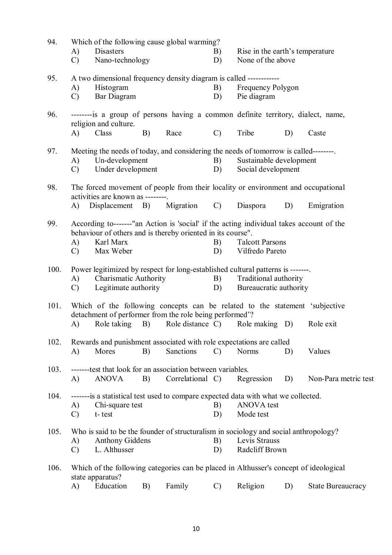| 94.  | Which of the following cause global warming?                                         |                                                                                                                                         |    |                                                                                                                                                        |               |                                           |    |                      |  |  |
|------|--------------------------------------------------------------------------------------|-----------------------------------------------------------------------------------------------------------------------------------------|----|--------------------------------------------------------------------------------------------------------------------------------------------------------|---------------|-------------------------------------------|----|----------------------|--|--|
|      | A)                                                                                   | <b>Disasters</b>                                                                                                                        |    |                                                                                                                                                        | B)            | Rise in the earth's temperature           |    |                      |  |  |
|      | $\mathcal{C}$                                                                        | Nano-technology                                                                                                                         |    |                                                                                                                                                        | D)            | None of the above                         |    |                      |  |  |
| 95.  | A two dimensional frequency density diagram is called ------------                   |                                                                                                                                         |    |                                                                                                                                                        |               |                                           |    |                      |  |  |
|      | A)                                                                                   | Histogram                                                                                                                               |    |                                                                                                                                                        | B)            | Frequency Polygon                         |    |                      |  |  |
|      | $\mathcal{C}$                                                                        | Bar Diagram                                                                                                                             |    |                                                                                                                                                        | D)            | Pie diagram                               |    |                      |  |  |
| 96.  |                                                                                      | religion and culture.                                                                                                                   |    | ---------is a group of persons having a common definite territory, dialect, name,                                                                      |               |                                           |    |                      |  |  |
|      | $\mathbf{A}$                                                                         | Class                                                                                                                                   | B) | Race                                                                                                                                                   | $\mathcal{C}$ | Tribe                                     | D) | Caste                |  |  |
| 97.  |                                                                                      | Meeting the needs of today, and considering the needs of tomorrow is called--------                                                     |    |                                                                                                                                                        |               |                                           |    |                      |  |  |
|      | A)                                                                                   | Un-development                                                                                                                          |    |                                                                                                                                                        | B)            | Sustainable development                   |    |                      |  |  |
|      | $\mathcal{C}$                                                                        | Under development                                                                                                                       |    |                                                                                                                                                        | D)            | Social development                        |    |                      |  |  |
| 98.  |                                                                                      | The forced movement of people from their locality or environment and occupational<br>activities are known as --------                   |    |                                                                                                                                                        |               |                                           |    |                      |  |  |
|      | A)                                                                                   | Displacement B)                                                                                                                         |    | Migration                                                                                                                                              | $\mathcal{C}$ | Diaspora                                  | D) | Emigration           |  |  |
| 99.  | A)<br>$\mathcal{C}$                                                                  | Karl Marx<br>Max Weber                                                                                                                  |    | According to-------"an Action is 'social' if the acting individual takes account of the<br>behaviour of others and is thereby oriented in its course". | B)<br>D)      | <b>Talcott Parsons</b><br>Vilfredo Pareto |    |                      |  |  |
| 100. | A)                                                                                   | Power legitimized by respect for long-established cultural patterns is -------<br><b>Charismatic Authority</b><br>Traditional authority |    |                                                                                                                                                        |               |                                           |    |                      |  |  |
|      | $\mathcal{C}$                                                                        | Legitimate authority                                                                                                                    |    |                                                                                                                                                        | B)<br>D)      | Bureaucratic authority                    |    |                      |  |  |
| 101. |                                                                                      |                                                                                                                                         |    | Which of the following concepts can be related to the statement 'subjective<br>detachment of performer from the role being performed'?                 |               |                                           |    |                      |  |  |
|      | A)                                                                                   | Role taking                                                                                                                             | B) |                                                                                                                                                        |               | Role distance C) Role making D)           |    | Role exit            |  |  |
| 102. |                                                                                      |                                                                                                                                         |    | Rewards and punishment associated with role expectations are called                                                                                    |               |                                           |    |                      |  |  |
|      | A)                                                                                   | Mores                                                                                                                                   | B) | Sanctions                                                                                                                                              | $\mathcal{C}$ | <b>Norms</b>                              | D) | Values               |  |  |
| 103. |                                                                                      |                                                                                                                                         |    | --------test that look for an association between variables.                                                                                           |               |                                           |    |                      |  |  |
|      | A)                                                                                   | <b>ANOVA</b>                                                                                                                            | B) | Correlational C)                                                                                                                                       |               | Regression                                | D) | Non-Para metric test |  |  |
|      |                                                                                      |                                                                                                                                         |    |                                                                                                                                                        |               |                                           |    |                      |  |  |
| 104. |                                                                                      |                                                                                                                                         |    | -------is a statistical test used to compare expected data with what we collected.                                                                     |               |                                           |    |                      |  |  |
|      | A)                                                                                   | Chi-square test                                                                                                                         |    |                                                                                                                                                        | B)            | <b>ANOVA</b> test                         |    |                      |  |  |
|      | $\mathcal{C}$                                                                        | t-test                                                                                                                                  |    |                                                                                                                                                        | D)            | Mode test                                 |    |                      |  |  |
| 105. | Who is said to be the founder of structuralism in sociology and social anthropology? |                                                                                                                                         |    |                                                                                                                                                        |               |                                           |    |                      |  |  |
|      | Levis Strauss<br><b>Anthony Giddens</b><br>B)<br>A)                                  |                                                                                                                                         |    |                                                                                                                                                        |               |                                           |    |                      |  |  |
|      | $\mathcal{C}$                                                                        | L. Althusser                                                                                                                            |    |                                                                                                                                                        | D)            | Radcliff Brown                            |    |                      |  |  |
| 106. |                                                                                      |                                                                                                                                         |    | Which of the following categories can be placed in Althusser's concept of ideological                                                                  |               |                                           |    |                      |  |  |
|      |                                                                                      | state apparatus?                                                                                                                        |    |                                                                                                                                                        |               |                                           |    |                      |  |  |

A) Education B) Family C) Religion D) State Bureaucracy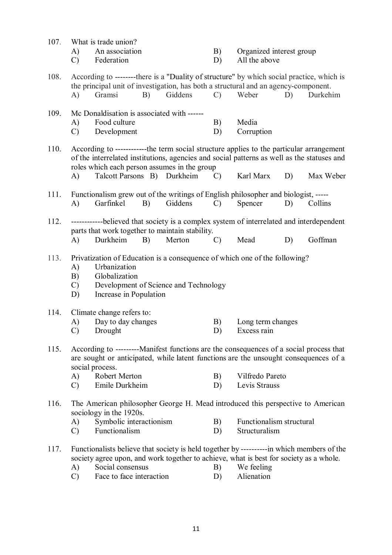| 107. | A)<br>$\mathcal{C}$             | What is trade union?<br>An association<br>Federation                                                                                                                                                                                   |         | B)<br>D)      | Organized interest group<br>All the above |    |           |
|------|---------------------------------|----------------------------------------------------------------------------------------------------------------------------------------------------------------------------------------------------------------------------------------|---------|---------------|-------------------------------------------|----|-----------|
| 108. | $\bf{A}$                        | According to --------there is a "Duality of structure" by which social practice, which is<br>the principal unit of investigation, has both a structural and an agency-component.<br>Gramsi<br>B)                                       | Giddens | $\mathcal{C}$ | Weber                                     | D) | Durkehim  |
| 109. | A)<br>$\mathcal{C}$             | Mc Donaldisation is associated with ------<br>Food culture<br>Development                                                                                                                                                              |         | B)<br>D)      | Media<br>Corruption                       |    |           |
| 110. |                                 | According to ------------the term social structure applies to the particular arrangement<br>of the interrelated institutions, agencies and social patterns as well as the statuses and<br>roles which each person assumes in the group |         |               |                                           |    |           |
|      | A)                              | Talcott Parsons B) Durkheim                                                                                                                                                                                                            |         | $\mathcal{C}$ | Karl Marx                                 | D) | Max Weber |
| 111. | A)                              | Functionalism grew out of the writings of English philosopher and biologist, -----<br>Garfinkel<br>B)                                                                                                                                  | Giddens | $\mathcal{C}$ | Spencer                                   | D) | Collins   |
| 112. |                                 | ------------believed that society is a complex system of interrelated and interdependent<br>parts that work together to maintain stability.                                                                                            |         |               |                                           |    |           |
|      | A)                              | Durkheim<br>B)                                                                                                                                                                                                                         | Merton  | $\mathcal{C}$ | Mead                                      | D) | Goffman   |
| 113. | A)<br>B)<br>$\mathcal{C}$<br>D) | Privatization of Education is a consequence of which one of the following?<br>Urbanization<br>Globalization<br>Development of Science and Technology<br>Increase in Population                                                         |         |               |                                           |    |           |
| 114. | A)<br>$\mathcal{C}$             | Climate change refers to:<br>Day to day changes<br>Drought                                                                                                                                                                             |         | B)<br>D)      | Long term changes<br>Excess rain          |    |           |
| 115. |                                 | According to ---------Manifest functions are the consequences of a social process that<br>are sought or anticipated, while latent functions are the unsought consequences of a<br>social process.                                      |         |               |                                           |    |           |
|      | A)                              | Robert Merton                                                                                                                                                                                                                          |         | B)            | Vilfredo Pareto                           |    |           |
|      | $\mathcal{C}$                   | Emile Durkheim                                                                                                                                                                                                                         |         | D)            | Levis Strauss                             |    |           |
| 116. |                                 | The American philosopher George H. Mead introduced this perspective to American<br>sociology in the 1920s.                                                                                                                             |         |               |                                           |    |           |
|      | A)<br>$\mathcal{C}$             | Symbolic interactionism<br>Functionalism                                                                                                                                                                                               |         | B)<br>D)      | Functionalism structural<br>Structuralism |    |           |
| 117. | A)<br>$\mathcal{C}$             | Functionalists believe that society is held together by -----------in which members of the<br>society agree upon, and work together to achieve, what is best for society as a whole.<br>Social consensus<br>Face to face interaction   |         | B)<br>D)      | We feeling<br>Alienation                  |    |           |